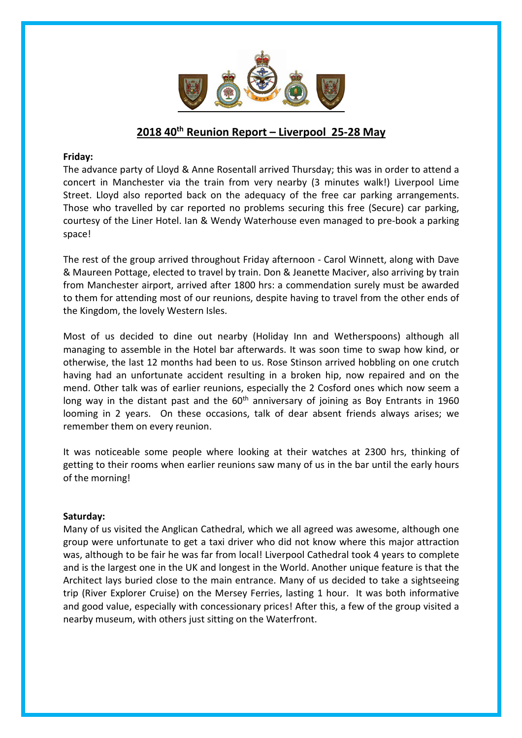

# **2018 40th Reunion Report – Liverpool 25-28 May**

## **Friday:**

The advance party of Lloyd & Anne Rosentall arrived Thursday; this was in order to attend a concert in Manchester via the train from very nearby (3 minutes walk!) Liverpool Lime Street. Lloyd also reported back on the adequacy of the free car parking arrangements. Those who travelled by car reported no problems securing this free (Secure) car parking, courtesy of the Liner Hotel. Ian & Wendy Waterhouse even managed to pre-book a parking space!

The rest of the group arrived throughout Friday afternoon - Carol Winnett, along with Dave & Maureen Pottage, elected to travel by train. Don & Jeanette Maciver, also arriving by train from Manchester airport, arrived after 1800 hrs: a commendation surely must be awarded to them for attending most of our reunions, despite having to travel from the other ends of the Kingdom, the lovely Western Isles.

Most of us decided to dine out nearby (Holiday Inn and Wetherspoons) although all managing to assemble in the Hotel bar afterwards. It was soon time to swap how kind, or otherwise, the last 12 months had been to us. Rose Stinson arrived hobbling on one crutch having had an unfortunate accident resulting in a broken hip, now repaired and on the mend. Other talk was of earlier reunions, especially the 2 Cosford ones which now seem a long way in the distant past and the  $60<sup>th</sup>$  anniversary of joining as Boy Entrants in 1960 looming in 2 years. On these occasions, talk of dear absent friends always arises; we remember them on every reunion.

It was noticeable some people where looking at their watches at 2300 hrs, thinking of getting to their rooms when earlier reunions saw many of us in the bar until the early hours of the morning!

## **Saturday:**

Many of us visited the Anglican Cathedral, which we all agreed was awesome, although one group were unfortunate to get a taxi driver who did not know where this major attraction was, although to be fair he was far from local! Liverpool Cathedral took 4 years to complete and is the largest one in the UK and longest in the World. Another unique feature is that the Architect lays buried close to the main entrance. Many of us decided to take a sightseeing trip (River Explorer Cruise) on the Mersey Ferries, lasting 1 hour. It was both informative and good value, especially with concessionary prices! After this, a few of the group visited a nearby museum, with others just sitting on the Waterfront.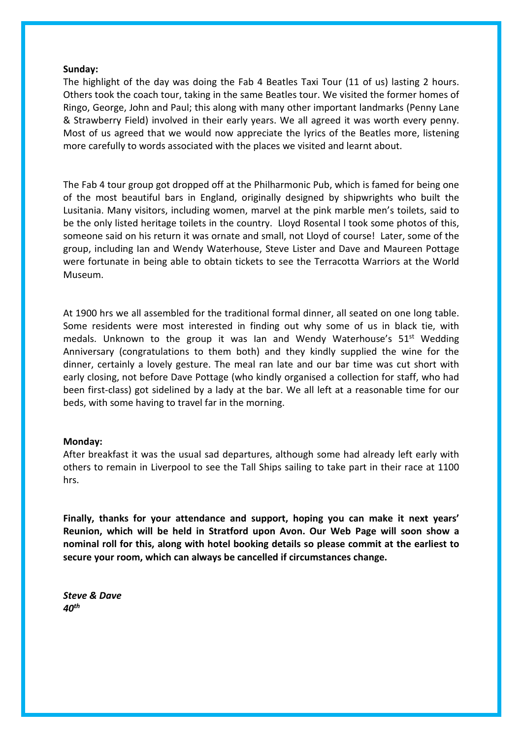### **Sunday:**

The highlight of the day was doing the Fab 4 Beatles Taxi Tour (11 of us) lasting 2 hours. Others took the coach tour, taking in the same Beatles tour. We visited the former homes of Ringo, George, John and Paul; this along with many other important landmarks (Penny Lane & Strawberry Field) involved in their early years. We all agreed it was worth every penny. Most of us agreed that we would now appreciate the lyrics of the Beatles more, listening more carefully to words associated with the places we visited and learnt about.

The Fab 4 tour group got dropped off at the Philharmonic Pub, which is famed for being one of the most beautiful bars in England, originally designed by shipwrights who built the Lusitania. Many visitors, including women, marvel at the pink marble men's toilets, said to be the only listed heritage toilets in the country. Lloyd Rosental l took some photos of this, someone said on his return it was ornate and small, not Lloyd of course! Later, some of the group, including Ian and Wendy Waterhouse, Steve Lister and Dave and Maureen Pottage were fortunate in being able to obtain tickets to see the Terracotta Warriors at the World Museum.

At 1900 hrs we all assembled for the traditional formal dinner, all seated on one long table. Some residents were most interested in finding out why some of us in black tie, with medals. Unknown to the group it was Ian and Wendy Waterhouse's  $51<sup>st</sup>$  Wedding Anniversary (congratulations to them both) and they kindly supplied the wine for the dinner, certainly a lovely gesture. The meal ran late and our bar time was cut short with early closing, not before Dave Pottage (who kindly organised a collection for staff, who had been first-class) got sidelined by a lady at the bar. We all left at a reasonable time for our beds, with some having to travel far in the morning.

#### **Monday:**

After breakfast it was the usual sad departures, although some had already left early with others to remain in Liverpool to see the Tall Ships sailing to take part in their race at 1100 hrs.

**Finally, thanks for your attendance and support, hoping you can make it next years' Reunion, which will be held in Stratford upon Avon. Our Web Page will soon show a nominal roll for this, along with hotel booking details so please commit at the earliest to secure your room, which can always be cancelled if circumstances change.** 

*Steve & Dave 40th*